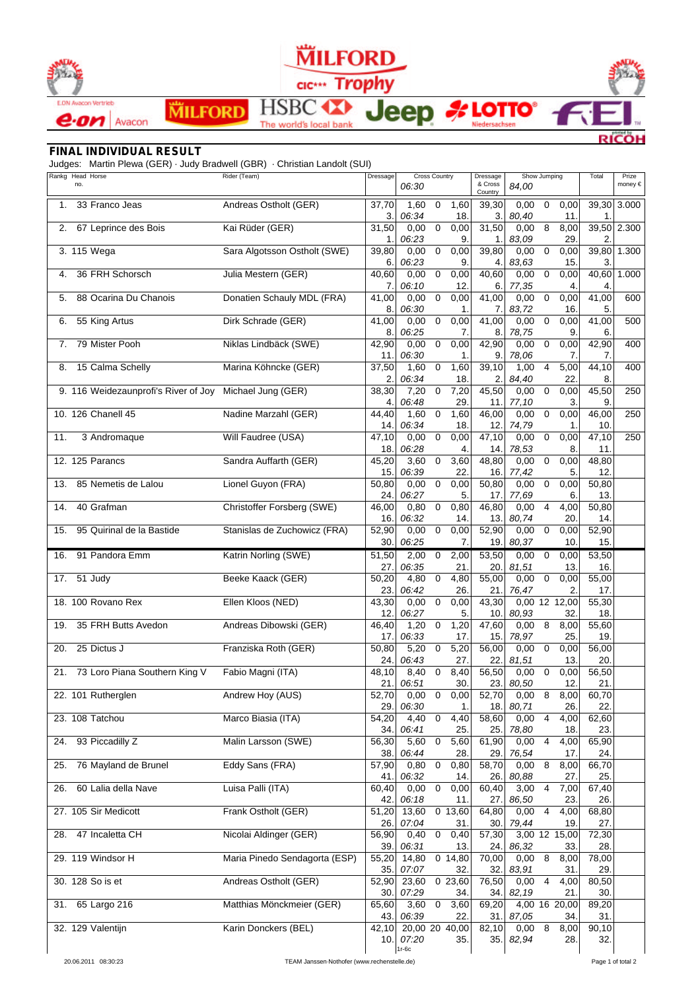

## **MILFORD** cic Trophy

**A LOTTO®** 

eep

**HSB** ΊY

The world's local bank

## *FINAL INDIVIDUAL RESULT*

Judges: Martin Plewa (GER) · Judy Bradwell (GBR) · Christian Landolt (SUI)

**MILFORD** 

|     | Rankg Head Horse<br>no.              | Rider (Team)                  | Dressage                 | <b>Cross Country</b><br>06:30      |                |                  | Dressage<br>& Cross<br>Country | 84.00         | Show Jumping |                      |                          | Prize<br>money $\in$ |
|-----|--------------------------------------|-------------------------------|--------------------------|------------------------------------|----------------|------------------|--------------------------------|---------------|--------------|----------------------|--------------------------|----------------------|
| 1.  | 33 Franco Jeas                       | Andreas Ostholt (GER)         | 37,70<br>3.              | 1,60<br>06:34                      | 0              | 1,60<br>18.      | 39,30<br>3.                    | 0,00<br>80,40 | 0            | 0,00<br>11.          | 39,30<br>1.              | 3.000                |
| 2.  | 67 Leprince des Bois                 | Kai Rüder (GER)               | 31,50<br>1.              | 0,00<br>06:23                      | $\mathbf 0$    | 0,00<br>9.       | 31,50<br>1.                    | 0,00<br>83.09 | 8            | 8,00<br>29.          | 2                        | 39,50 2.300          |
|     | 3. 115 Wega                          | Sara Algotsson Ostholt (SWE)  | 39,80<br>6.              | 0,00<br>06:23                      | $\mathbf 0$    | 0,00<br>9.       | 39,80<br>4.                    | 0,00<br>83,63 | 0            | 0,00<br>15.          | 3.                       | 39,80 1.300          |
| 4.  | 36 FRH Schorsch                      | Julia Mestern (GER)           | 40,60<br>7.              | 0,00<br>06:10                      | 0              | 0,00<br>12.      | 40,60<br>6.                    | 0,00<br>77,35 | 0            | 0,00<br>4.           | 40,60<br>4.              | 1.000                |
| 5.  | 88 Ocarina Du Chanois                | Donatien Schauly MDL (FRA)    | 41,00<br>8.              | 0,00<br>06:30                      | $\mathsf 0$    | 0,00<br>1.       | 41,00<br>7.                    | 0,00<br>83,72 | 0            | 0,00<br>16.          | 41,00<br>5               | 600                  |
| 6.  | 55 King Artus                        | Dirk Schrade (GER)            | 41,00<br>8.              | 0,00<br>06:25                      | 0              | 0,00<br>7.       | 41,00<br>8.                    | 0,00<br>78,75 | 0            | 0,00<br>9.           | 41,00<br>6.              | 500                  |
| 7.  | 79 Mister Pooh                       | Niklas Lindbäck (SWE)         | 42,90<br>11.             | 0,00<br>06:30                      | $\mathbf 0$    | 0,00<br>1.       | 42,90<br>9                     | 0,00<br>78,06 | 0            | 0,00<br>7.           | 42,90<br>7.              | 400                  |
| 8.  | 15 Calma Schelly                     | Marina Köhncke (GER)          | 37,50<br>2.              | 1,60<br>06:34                      | 0              | 1,60<br>18.      | 39,10<br>2.                    | 1,00<br>84,40 | 4            | 5,00<br>22.          | 44,10<br>8               | 400                  |
|     | 9. 116 Weidezaunprofi's River of Joy | Michael Jung (GER)            | 38,30<br>4.              | 7,20<br>06:48                      | 0              | 7,20<br>29.      | 45,50<br>11.                   | 0,00<br>77,10 | 0            | 0,00<br>3.           | 45,50<br>9.              | 250                  |
|     | 10. 126 Chanell 45                   | Nadine Marzahl (GER)          | 44.40<br>14.             | 1,60<br>06:34                      | $\mathsf 0$    | 1,60<br>18.      | 46,00<br>12.                   | 0,00<br>74,79 | $\mathbf 0$  | 0,00<br>1.           | 46,00<br>10.             | 250                  |
| 11. | 3 Andromaque                         | Will Faudree (USA)            | 47,10<br>18.             | 0,00<br>06:28                      | 0              | 0,00<br>4.       | 47,10<br>14.                   | 0,00<br>78,53 | 0            | 0,00<br>8.           | 47,10<br>11.             | 250                  |
|     | 12. 125 Parancs                      | Sandra Auffarth (GER)         | 45,20<br>15.             | 3,60<br>06:39                      | $\mathbf 0$    | 3,60<br>22.      | 48,80<br>16                    | 0,00<br>77,42 | $\mathbf 0$  | 0,00<br>5.           | 48,80<br>12.             |                      |
| 13. | 85 Nemetis de Lalou                  | Lionel Guyon (FRA)            | 50,80<br>24.             | 0,00<br>06:27                      | $\mathbf 0$    | 0,00<br>5.       | 50,80<br>17.                   | 0,00<br>77.69 | 0            | 0,00<br>6.           | 50,80<br>13.             |                      |
| 14. | 40 Grafman                           | Christoffer Forsberg (SWE)    | 46,00<br>16.             | 0,80<br>06:32                      | 0              | 0,80<br>14.      | 46,80<br>13.                   | 0,00<br>80,74 | 4            | 4,00<br>20.          | 50,80<br>14.             |                      |
| 15. | 95 Quirinal de la Bastide            | Stanislas de Zuchowicz (FRA)  | $\frac{1}{52,90}$<br>30. | 0,00<br>06:25                      | $\overline{0}$ | 0,00<br>7.       | 52,90<br>19.                   | 0,00<br>80,37 | $\mathbf 0$  | 0,00<br>10.          | 52,90<br>15.             |                      |
| 16. | 91 Pandora Emm                       | Katrin Norling (SWE)          | 51,50<br>27.             | 2,00<br>06:35                      | $\mathbf 0$    | 2,00<br>21.      | 53,50<br>20.                   | 0,00<br>81,51 | 0            | 0,00<br>13.          | 53,50<br>16.             |                      |
| 17. | 51 Judy                              | Beeke Kaack (GER)             | 50,20<br>23.             | 4,80<br>06:42                      | 0              | 4,80<br>26.      | 55,00<br>21                    | 0,00<br>76,47 | 0            | 0,00<br>2.           | $\overline{5}5,00$<br>17 |                      |
|     | 18. 100 Rovano Rex                   | Ellen Kloos (NED)             | 43,30<br>12 <sub>1</sub> | 0,00<br>06:27                      | $\mathbf 0$    | 0,00<br>5.       | 43,30<br>10.                   | 0,00<br>80,93 | 12           | 12,00<br>32.         | 55,30<br>18              |                      |
| 19. | 35 FRH Butts Avedon                  | Andreas Dibowski (GER)        | 46,40<br>17.             | 1,20<br>06:33                      | $\mathbf 0$    | 1,20<br>17.      | 47,60<br>15 <sub>1</sub>       | 0,00<br>78,97 | 8            | 8,00<br>25.          | 55,60<br>19.             |                      |
| 20. | 25 Dictus J                          | Franziska Roth (GER)          | 50,80<br>24.             | 5,20<br>06:43                      | 0              | 5,20<br>27.      | 56,00<br>22.                   | 0,00<br>81,51 | 0            | 0,00<br>13.          | 56,00<br>20.             |                      |
| 21. | 73 Loro Piana Southern King V        | Fabio Magni (ITA)             | 48,10<br>21.             | 8,40<br>06:51                      | $\mathbf 0$    | 8,40<br>30.      | 56,50<br>23.                   | 0,00<br>80,50 | $\mathbf 0$  | 0,00<br>12.          | 56,50<br>21.             |                      |
|     | 22. 101 Rutherglen                   | Andrew Hoy (AUS)              | 52,70<br>29.             | 0,00<br>06:30                      | 0              | 0,00<br>1.       | 52,70<br>18.                   | 0,00<br>80,71 | 8            | 8,00<br>26.          | 60,70<br>22.             |                      |
|     | 23. 108 Tatchou                      | Marco Biasia (ITA)            | 54,20<br>34.             | 4,40<br>06:41                      | 0              | 4,40<br>25.      | 58,60<br>25.                   | 0,00<br>78,80 | 4            | 4,00<br>18.          | 62,60<br>23.             |                      |
| 24. | 93 Piccadilly Z                      | Malin Larsson (SWE)           | 56,30<br>38.             | 5,60<br>06:44                      | $\mathsf 0$    | 5,60<br>28.      | 61,90<br>29.                   | 0,00<br>76,54 | 4            | 4,00<br>17.          | 65,90<br>24.             |                      |
| 25. | 76 Mayland de Brunel                 | Eddy Sans (FRA)               | 57,90<br>41.             | 0,80<br>06:32                      | $\mathbf 0$    | 0,80<br>14.      | 58,70<br>26.                   | 0,00<br>80,88 | 8            | 8,00<br>27.          | 66,70<br>25.             |                      |
| 26. | 60 Lalia della Nave                  | Luisa Palli (ITA)             | 60,40<br>42.             | 0,00<br>06:18                      | $\overline{0}$ | 0,00<br>11.      | 60,40<br>27.                   | 3,00<br>86,50 | 4            | 7,00<br>23.          | 67,40<br>26.             |                      |
|     | 27. 105 Sir Medicott                 | Frank Ostholt (GER)           | 51,20<br>26.             | 13,60<br>07:04                     |                | 0 13,60<br>31.   | 64,80<br>30.                   | 0,00<br>79,44 | 4            | 4,00<br>19.          | 68,80<br>27.             |                      |
| 28. | 47 Incaletta CH                      | Nicolai Aldinger (GER)        | 56,90<br>39.             | 0,40<br>06:31                      | $\pmb{0}$      | 0,40<br>13.      | 57,30<br>24.                   | 86,32         |              | 3,00 12 15,00<br>33. | 72,30<br>28.             |                      |
|     | 29. 119 Windsor H                    | Maria Pinedo Sendagorta (ESP) | 55,20<br>35.             | 14,80<br>07:07                     |                | 0, 14, 80<br>32. | 70,00<br>32.                   | 0,00<br>83,91 | 8            | 8,00<br>31.          | 78,00<br>29.             |                      |
|     | 30. 128 So is et                     | Andreas Ostholt (GER)         | 52,90<br>30.             | 23,60<br>07:29                     |                | 023,60<br>34.    | 76,50<br>34.                   | 0,00<br>82,19 | 4            | 4,00<br>21.          | 80,50<br>30.             |                      |
|     | 31. 65 Largo 216                     | Matthias Mönckmeier (GER)     | 65,60<br>43.             | 3,60<br>06:39                      | $\overline{0}$ | 3,60<br>22.      | 69,20<br>31.                   | 87,05         |              | 4,00 16 20,00<br>34. | 89,20<br>31.             |                      |
|     | 32. 129 Valentijn                    | Karin Donckers (BEL)          | 42,10<br>10.1            | 20,00 20 40,00<br>07:20<br>$1r-6c$ |                | 35.              | 82,10<br>35.                   | 0,00<br>82,94 | 8            | 8,00<br>28.          | 90,10<br>32.             |                      |